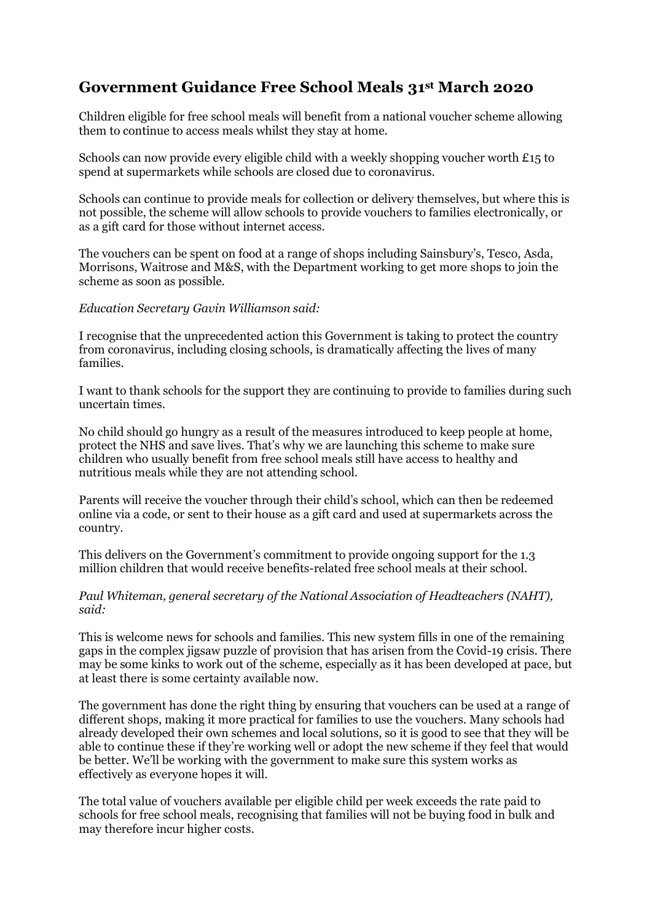# **Government Guidance Free School Meals 31st March 2020**

Children eligible for free school meals will benefit from a national voucher scheme allowing them to continue to access meals whilst they stay at home.

Schools can now provide every eligible child with a weekly shopping voucher worth  $£15$  to spend at supermarkets while schools are closed due to coronavirus.

Schools can continue to provide meals for collection or delivery themselves, but where this is not possible, the scheme will allow schools to provide vouchers to families electronically, or as a gift card for those without internet access.

The vouchers can be spent on food at a range of shops including Sainsbury's, Tesco, Asda, Morrisons, Waitrose and M&S, with the Department working to get more shops to join the scheme as soon as possible.

#### *Education Secretary Gavin Williamson said:*

I recognise that the unprecedented action this Government is taking to protect the country from coronavirus, including closing schools, is dramatically affecting the lives of many families.

I want to thank schools for the support they are continuing to provide to families during such uncertain times.

No child should go hungry as a result of the measures introduced to keep people at home, protect the NHS and save lives. That's why we are launching this scheme to make sure children who usually benefit from free school meals still have access to healthy and nutritious meals while they are not attending school.

Parents will receive the voucher through their child's school, which can then be redeemed online via a code, or sent to their house as a gift card and used at supermarkets across the country.

This delivers on the Government's commitment to provide ongoing support for the 1.3 million children that would receive benefits-related free school meals at their school.

#### *Paul Whiteman, general secretary of the National Association of Headteachers (NAHT), said:*

This is welcome news for schools and families. This new system fills in one of the remaining gaps in the complex jigsaw puzzle of provision that has arisen from the Covid-19 crisis. There may be some kinks to work out of the scheme, especially as it has been developed at pace, but at least there is some certainty available now.

The government has done the right thing by ensuring that vouchers can be used at a range of different shops, making it more practical for families to use the vouchers. Many schools had already developed their own schemes and local solutions, so it is good to see that they will be able to continue these if they're working well or adopt the new scheme if they feel that would be better. We'll be working with the government to make sure this system works as effectively as everyone hopes it will.

The total value of vouchers available per eligible child per week exceeds the rate paid to schools for free school meals, recognising that families will not be buying food in bulk and may therefore incur higher costs.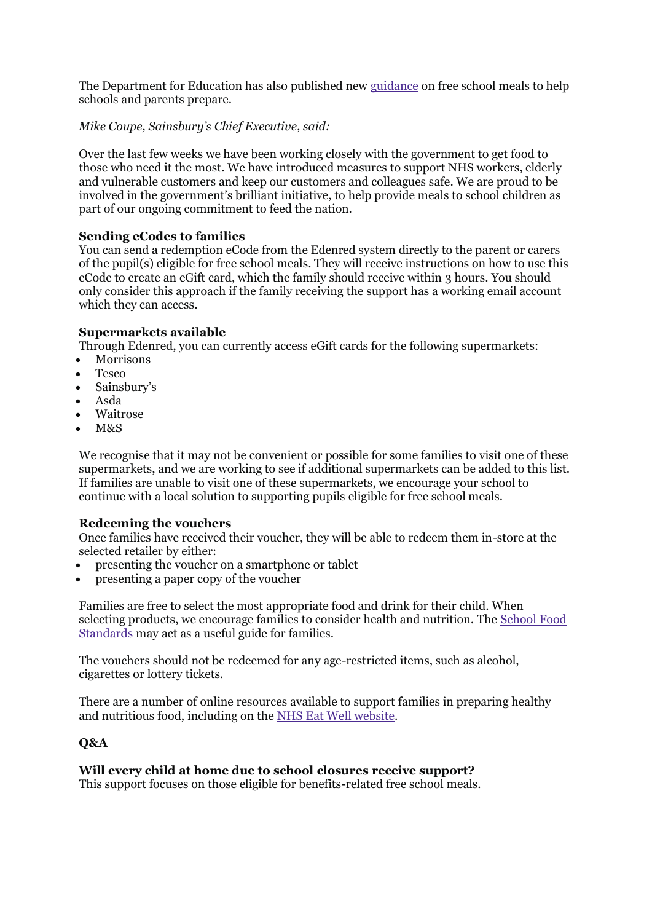The Department for Education has also published new [guidance](https://www.gov.uk/government/publications/covid-19-free-school-meals-guidance/covid-19-free-school-meals-guidance-for-schools) on free school meals to help schools and parents prepare.

## *Mike Coupe, Sainsbury's Chief Executive, said:*

Over the last few weeks we have been working closely with the government to get food to those who need it the most. We have introduced measures to support NHS workers, elderly and vulnerable customers and keep our customers and colleagues safe. We are proud to be involved in the government's brilliant initiative, to help provide meals to school children as part of our ongoing commitment to feed the nation.

## **Sending eCodes to families**

You can send a redemption eCode from the Edenred system directly to the parent or carers of the pupil(s) eligible for free school meals. They will receive instructions on how to use this eCode to create an eGift card, which the family should receive within 3 hours. You should only consider this approach if the family receiving the support has a working email account which they can access.

## **Supermarkets available**

Through Edenred, you can currently access eGift cards for the following supermarkets:

- **Morrisons**
- Tesco
- Sainsbury's
- Asda
- Waitrose
- $M&S$

We recognise that it may not be convenient or possible for some families to visit one of these supermarkets, and we are working to see if additional supermarkets can be added to this list. If families are unable to visit one of these supermarkets, we encourage your school to continue with a local solution to supporting pupils eligible for free school meals.

## **Redeeming the vouchers**

Once families have received their voucher, they will be able to redeem them in-store at the selected retailer by either:

- presenting the voucher on a smartphone or tablet
- presenting a paper copy of the voucher

Families are free to select the most appropriate food and drink for their child. When selecting products, we encourage families to consider health and nutrition. The [School](https://www.gov.uk/government/publications/standards-for-school-food-in-england) Food [Standards](https://www.gov.uk/government/publications/standards-for-school-food-in-england) may act as a useful guide for families.

The vouchers should not be redeemed for any age-restricted items, such as alcohol, cigarettes or lottery tickets.

There are a number of online resources available to support families in preparing healthy and nutritious food, including on the NHS Eat Well [website.](https://www.nhs.uk/live-well/eat-well/?tabname=recipes-and-tips)

## **Q&A**

## **Will every child at home due to school closures receive support?**

This support focuses on those eligible for benefits-related free school meals.